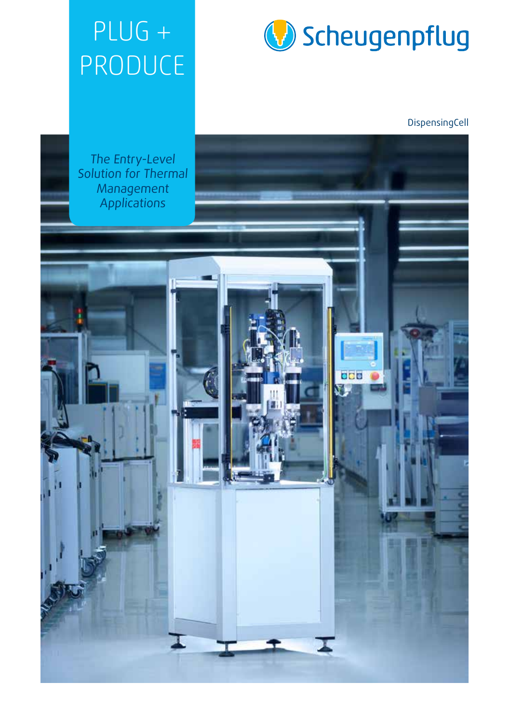## PLUG + PRODUCE



DispensingCell

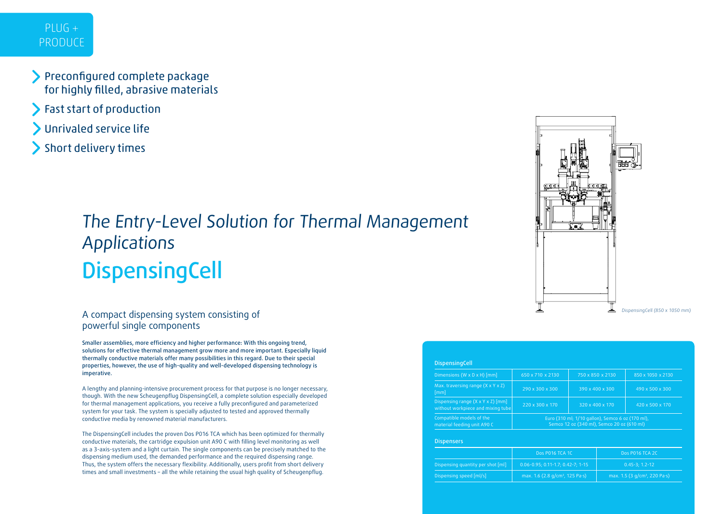### PLUG + PRODUCE

- Preconfigured complete package for highly filled, abrasive materials
- Fast start of production
- Unrivaled service life
- Short delivery times

# **DispensingCell** The Entry-Level Solution for Thermal Management Applications

### A compact dispensing system consisting of powerful single components

Smaller assemblies, more efficiency and higher performance: With this ongoing trend, solutions for effective thermal management grow more and more important. Especially liquid thermally conductive materials offer many possibilities in this regard. Due to their special properties, however, the use of high-quality and well-developed dispensing technology is imperative.

A lengthy and planning-intensive procurement process for that purpose is no longer necessary, though. With the new Scheugenpflug DispensingCell, a complete solution especially developed for thermal management applications, you receive a fully preconfigured and parameterized system for your task. The system is specially adjusted to tested and approved thermally conductive media by renowned material manufacturers.

The DispensingCell includes the proven Dos P016 TCA which has been optimized for thermally conductive materials, the cartridge expulsion unit A90 C with filling level monitoring as well as a 3-axis-system and a light curtain. The single components can be precisely matched to the dispensing medium used, the demanded performance and the required dispensing range. Thus, the system offers the necessary flexibility. Additionally, users profit from short delivery times and small investments – all the while retaining the usual high quality of Scheugenpflug.



| <b>DispensingCell</b>                                                              |                                                                                                |                  |                             |
|------------------------------------------------------------------------------------|------------------------------------------------------------------------------------------------|------------------|-----------------------------|
| Dimensions (W $\times$ D $\times$ H) [mm]                                          | 650 x 710 x 2130                                                                               | 750 x 850 x 2130 | 850 x 1050 x 2130           |
| Max. traversing range $(X \times Y \times Z)$<br>[mm]                              | $290 \times 300 \times 300$                                                                    | 390 x 400 x 300  | $490 \times 500 \times 300$ |
| Dispensing range $(X \times Y \times Z)$ [mm]<br>without workpiece and mixing tube | 220 x 300 x 170                                                                                | 320 x 400 x 170  | 420 x 500 x 170             |
| Compatible models of the<br>material feeding unit A90 C                            | Euro (310 ml; 1/10 gallon), Semco 6 oz (170 ml),<br>Semco 12 oz (340 ml), Semco 20 oz (610 ml) |                  |                             |

#### **Dispensers**

|                                   | Dos P016 TCA 1C                                                | Dos P016 TCA 2C                          |  |
|-----------------------------------|----------------------------------------------------------------|------------------------------------------|--|
| Dispensing quantity per shot [ml] | $0.06 - 0.95; 0.11 - 1.7; 0.42 - 7; 1 - 15$                    | $0.45 - 3; 1.2 - 12$                     |  |
| Dispensing speed [ml/s]           | max. 1.6 $(2.8 \text{ q/cm}^3, 125 \text{ Pa} \cdot \text{s})$ | max. 1.5 (3 $q/cm^3$ , 220 Pa $\cdot$ s) |  |